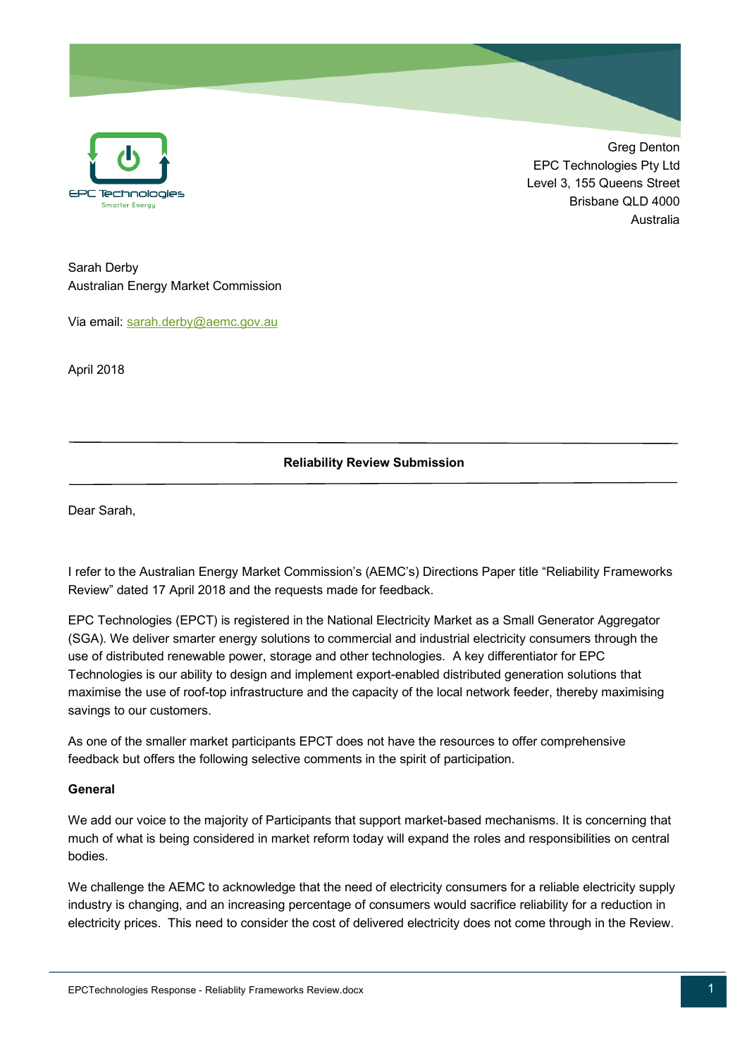

Greg Denton EPC Technologies Pty Ltd Level 3, 155 Queens Street Brisbane QLD 4000 Australia

Sarah Derby Australian Energy Market Commission

Via email: sarah.derby@aemc.gov.au

April 2018

# **Reliability Review Submission**

Dear Sarah,

I refer to the Australian Energy Market Commission's (AEMC's) Directions Paper title "Reliability Frameworks Review" dated 17 April 2018 and the requests made for feedback.

EPC Technologies (EPCT) is registered in the National Electricity Market as a Small Generator Aggregator (SGA). We deliver smarter energy solutions to commercial and industrial electricity consumers through the use of distributed renewable power, storage and other technologies. A key differentiator for EPC Technologies is our ability to design and implement export-enabled distributed generation solutions that maximise the use of roof-top infrastructure and the capacity of the local network feeder, thereby maximising savings to our customers.

As one of the smaller market participants EPCT does not have the resources to offer comprehensive feedback but offers the following selective comments in the spirit of participation.

#### **General**

We add our voice to the majority of Participants that support market-based mechanisms. It is concerning that much of what is being considered in market reform today will expand the roles and responsibilities on central bodies.

We challenge the AEMC to acknowledge that the need of electricity consumers for a reliable electricity supply industry is changing, and an increasing percentage of consumers would sacrifice reliability for a reduction in electricity prices. This need to consider the cost of delivered electricity does not come through in the Review.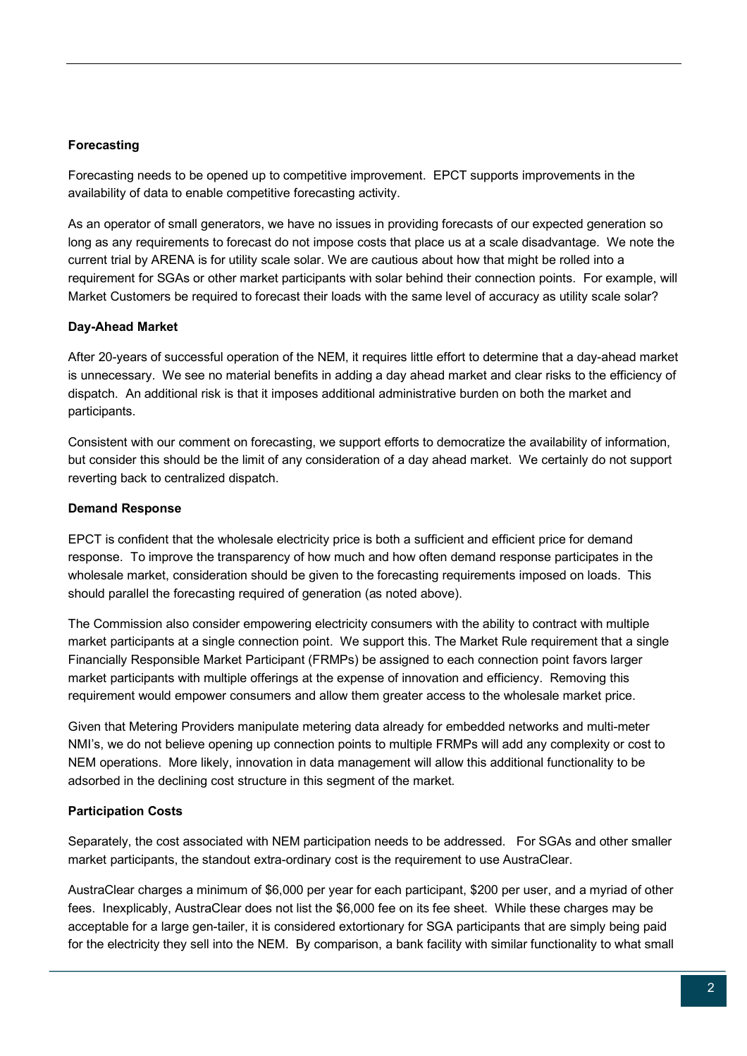# **Forecasting**

Forecasting needs to be opened up to competitive improvement. EPCT supports improvements in the availability of data to enable competitive forecasting activity.

As an operator of small generators, we have no issues in providing forecasts of our expected generation so long as any requirements to forecast do not impose costs that place us at a scale disadvantage. We note the current trial by ARENA is for utility scale solar. We are cautious about how that might be rolled into a requirement for SGAs or other market participants with solar behind their connection points. For example, will Market Customers be required to forecast their loads with the same level of accuracy as utility scale solar?

# **Day-Ahead Market**

After 20-years of successful operation of the NEM, it requires little effort to determine that a day-ahead market is unnecessary. We see no material benefits in adding a day ahead market and clear risks to the efficiency of dispatch. An additional risk is that it imposes additional administrative burden on both the market and participants.

Consistent with our comment on forecasting, we support efforts to democratize the availability of information, but consider this should be the limit of any consideration of a day ahead market. We certainly do not support reverting back to centralized dispatch.

#### **Demand Response**

EPCT is confident that the wholesale electricity price is both a sufficient and efficient price for demand response. To improve the transparency of how much and how often demand response participates in the wholesale market, consideration should be given to the forecasting requirements imposed on loads. This should parallel the forecasting required of generation (as noted above).

The Commission also consider empowering electricity consumers with the ability to contract with multiple market participants at a single connection point. We support this. The Market Rule requirement that a single Financially Responsible Market Participant (FRMPs) be assigned to each connection point favors larger market participants with multiple offerings at the expense of innovation and efficiency. Removing this requirement would empower consumers and allow them greater access to the wholesale market price.

Given that Metering Providers manipulate metering data already for embedded networks and multi-meter NMI's, we do not believe opening up connection points to multiple FRMPs will add any complexity or cost to NEM operations. More likely, innovation in data management will allow this additional functionality to be adsorbed in the declining cost structure in this segment of the market.

# **Participation Costs**

Separately, the cost associated with NEM participation needs to be addressed. For SGAs and other smaller market participants, the standout extra-ordinary cost is the requirement to use AustraClear.

AustraClear charges a minimum of \$6,000 per year for each participant, \$200 per user, and a myriad of other fees. Inexplicably, AustraClear does not list the \$6,000 fee on its fee sheet. While these charges may be acceptable for a large gen-tailer, it is considered extortionary for SGA participants that are simply being paid for the electricity they sell into the NEM. By comparison, a bank facility with similar functionality to what small